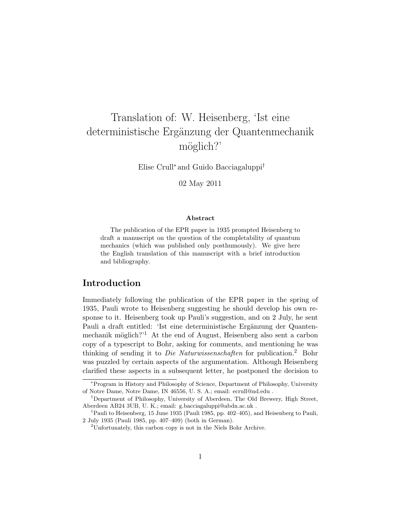# Translation of: W. Heisenberg, 'Ist eine deterministische Ergänzung der Quantenmechanik möglich?'

Elise Crull<sup>∗</sup> and Guido Bacciagaluppi†

02 May 2011

#### Abstract

The publication of the EPR paper in 1935 prompted Heisenberg to draft a manuscript on the question of the completability of quantum mechanics (which was published only posthumously). We give here the English translation of this manuscript with a brief introduction and bibliography.

### Introduction

Immediately following the publication of the EPR paper in the spring of 1935, Pauli wrote to Heisenberg suggesting he should develop his own response to it. Heisenberg took up Pauli's suggestion, and on 2 July, he sent Pauli a draft entitled: 'Ist eine deterministische Ergänzung der Quantenmechanik möglich?<sup>'1</sup> At the end of August, Heisenberg also sent a carbon copy of a typescript to Bohr, asking for comments, and mentioning he was thinking of sending it to *Die Naturwissenschaften* for publication.<sup>2</sup> Bohr was puzzled by certain aspects of the argumentation. Although Heisenberg clarified these aspects in a subsequent letter, he postponed the decision to

<sup>∗</sup>Program in History and Philosophy of Science, Department of Philosophy, University of Notre Dame, Notre Dame, IN 46556, U. S. A.; email: ecrull@nd.edu .

<sup>†</sup>Department of Philosophy, University of Aberdeen, The Old Brewery, High Street, Aberdeen AB24 3UB, U. K.; email: g.bacciagaluppi@abdn.ac.uk .

<sup>&</sup>lt;sup>1</sup>Pauli to Heisenberg, 15 June 1935 (Pauli 1985, pp. 402–405), and Heisenberg to Pauli, 2 July 1935 (Pauli 1985, pp. 407–409) (both in German).

<sup>2</sup>Unfortunately, this carbon copy is not in the Niels Bohr Archive.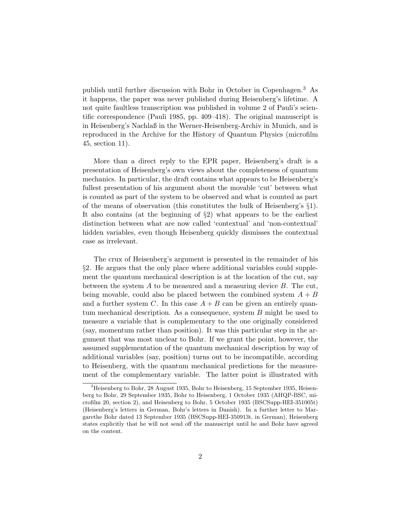publish until further discussion with Bohr in October in Copenhagen.<sup>3</sup> As it happens, the paper was never published during Heisenberg's lifetime. A not quite faultless transcription was published in volume 2 of Pauli's scientific correspondence (Pauli 1985, pp. 409–418). The original manuscript is in Heisenberg's Nachlaß in the Werner-Heisenberg-Archiv in Munich, and is reproduced in the Archive for the History of Quantum Physics (microfilm 45, section 11).

More than a direct reply to the EPR paper, Heisenberg's draft is a presentation of Heisenberg's own views about the completeness of quantum mechanics. In particular, the draft contains what appears to be Heisenberg's fullest presentation of his argument about the movable 'cut' between what is counted as part of the system to be observed and what is counted as part of the means of observation (this constitutes the bulk of Heisenberg's §1). It also contains (at the beginning of §2) what appears to be the earliest distinction between what are now called 'contextual' and 'non-contextual' hidden variables, even though Heisenberg quickly dismisses the contextual case as irrelevant.

The crux of Heisenberg's argument is presented in the remainder of his §2. He argues that the only place where additional variables could supplement the quantum mechanical description is at the location of the cut, say between the system  $A$  to be measured and a measuring device  $B$ . The cut, being movable, could also be placed between the combined system  $A + B$ and a further system C. In this case  $A + B$  can be given an entirely quantum mechanical description. As a consequence, system  $B$  might be used to measure a variable that is complementary to the one originally considered (say, momentum rather than position). It was this particular step in the argument that was most unclear to Bohr. If we grant the point, however, the assumed supplementation of the quantum mechanical description by way of additional variables (say, position) turns out to be incompatible, according to Heisenberg, with the quantum mechanical predictions for the measurement of the complementary variable. The latter point is illustrated with

<sup>3</sup>Heisenberg to Bohr, 28 August 1935, Bohr to Heisenberg, 15 September 1935, Heisenberg to Bohr, 29 September 1935, Bohr to Heisenberg, 1 October 1935 (AHQP-BSC, microfilm 20, section 2), and Heisenberg to Bohr, 5 October 1935 (BSCSupp-HEI-351005t) (Heisenberg's letters in German, Bohr's letters in Danish). In a further letter to Margarethe Bohr dated 13 September 1935 (BSCSupp-HEI-350913t, in German), Heisenberg states explicitly that he will not send off the manuscript until he and Bohr have agreed on the content.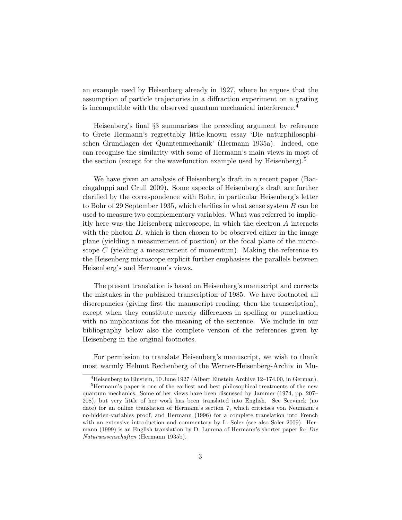an example used by Heisenberg already in 1927, where he argues that the assumption of particle trajectories in a diffraction experiment on a grating is incompatible with the observed quantum mechanical interference.<sup>4</sup>

Heisenberg's final §3 summarises the preceding argument by reference to Grete Hermann's regrettably little-known essay 'Die naturphilosophischen Grundlagen der Quantenmechanik' (Hermann 1935a). Indeed, one can recognise the similarity with some of Hermann's main views in most of the section (except for the wavefunction example used by Heisenberg).<sup>5</sup>

We have given an analysis of Heisenberg's draft in a recent paper (Bacciagaluppi and Crull 2009). Some aspects of Heisenberg's draft are further clarified by the correspondence with Bohr, in particular Heisenberg's letter to Bohr of 29 September 1935, which clarifies in what sense system B can be used to measure two complementary variables. What was referred to implicitly here was the Heisenberg microscope, in which the electron A interacts with the photon  $B$ , which is then chosen to be observed either in the image plane (yielding a measurement of position) or the focal plane of the microscope  $C$  (yielding a measurement of momentum). Making the reference to the Heisenberg microscope explicit further emphasises the parallels between Heisenberg's and Hermann's views.

The present translation is based on Heisenberg's manuscript and corrects the mistakes in the published transcription of 1985. We have footnoted all discrepancies (giving first the manuscript reading, then the transcription), except when they constitute merely differences in spelling or punctuation with no implications for the meaning of the sentence. We include in our bibliography below also the complete version of the references given by Heisenberg in the original footnotes.

For permission to translate Heisenberg's manuscript, we wish to thank most warmly Helmut Rechenberg of the Werner-Heisenberg-Archiv in Mu-

<sup>4</sup>Heisenberg to Einstein, 10 June 1927 (Albert Einstein Archive 12–174.00, in German).

<sup>&</sup>lt;sup>5</sup>Hermann's paper is one of the earliest and best philosophical treatments of the new quantum mechanics. Some of her views have been discussed by Jammer (1974, pp. 207– 208), but very little of her work has been translated into English. See Seevinck (no date) for an online translation of Hermann's section 7, which criticises von Neumann's no-hidden-variables proof, and Hermann (1996) for a complete translation into French with an extensive introduction and commentary by L. Soler (see also Soler 2009). Hermann (1999) is an English translation by D. Lumma of Hermann's shorter paper for Die Naturwissenschaften (Hermann 1935b).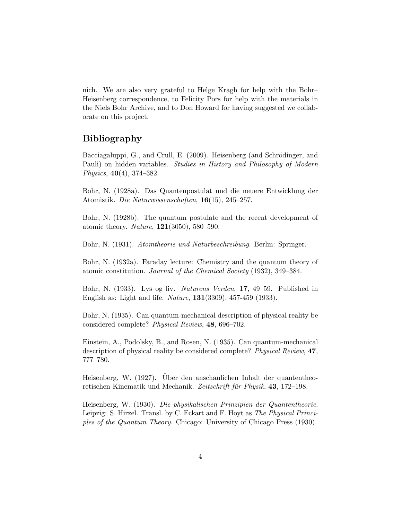nich. We are also very grateful to Helge Kragh for help with the Bohr– Heisenberg correspondence, to Felicity Pors for help with the materials in the Niels Bohr Archive, and to Don Howard for having suggested we collaborate on this project.

## Bibliography

Bacciagaluppi, G., and Crull, E. (2009). Heisenberg (and Schrödinger, and Pauli) on hidden variables. Studies in History and Philosophy of Modern Physics,  $40(4)$ , 374–382.

Bohr, N. (1928a). Das Quantenpostulat und die neuere Entwicklung der Atomistik. Die Naturwissenschaften, 16(15), 245–257.

Bohr, N. (1928b). The quantum postulate and the recent development of atomic theory. Nature, 121(3050), 580–590.

Bohr, N. (1931). Atomtheorie und Naturbeschreibung. Berlin: Springer.

Bohr, N. (1932a). Faraday lecture: Chemistry and the quantum theory of atomic constitution. Journal of the Chemical Society (1932), 349–384.

Bohr, N. (1933). Lys og liv. Naturens Verden, 17, 49–59. Published in English as: Light and life. Nature, 131(3309), 457-459 (1933).

Bohr, N. (1935). Can quantum-mechanical description of physical reality be considered complete? Physical Review, 48, 696–702.

Einstein, A., Podolsky, B., and Rosen, N. (1935). Can quantum-mechanical description of physical reality be considered complete? Physical Review, 47, 777–780.

Heisenberg, W. (1927). Über den anschaulichen Inhalt der quantentheoretischen Kinematik und Mechanik. Zeitschrift für Physik, 43, 172–198.

Heisenberg, W. (1930). Die physikalischen Prinzipien der Quantentheorie. Leipzig: S. Hirzel. Transl. by C. Eckart and F. Hoyt as The Physical Principles of the Quantum Theory. Chicago: University of Chicago Press (1930).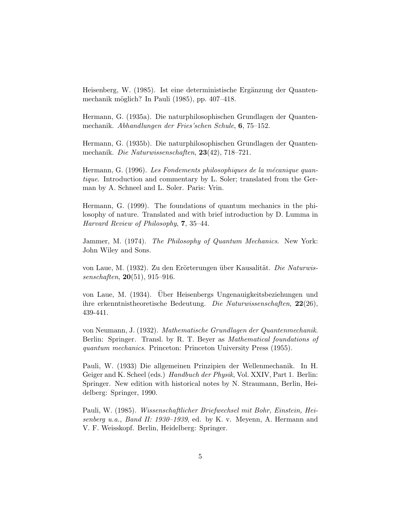Heisenberg, W. (1985). Ist eine deterministische Ergänzung der Quantenmechanik möglich? In Pauli (1985), pp. 407–418.

Hermann, G. (1935a). Die naturphilosophischen Grundlagen der Quantenmechanik. Abhandlungen der Fries'schen Schule, 6, 75–152.

Hermann, G. (1935b). Die naturphilosophischen Grundlagen der Quantenmechanik. Die Naturwissenschaften, 23(42), 718–721.

Hermann, G. (1996). Les Fondements philosophiques de la mécanique quantique. Introduction and commentary by L. Soler; translated from the German by A. Schneel and L. Soler. Paris: Vrin.

Hermann, G. (1999). The foundations of quantum mechanics in the philosophy of nature. Translated and with brief introduction by D. Lumma in Harvard Review of Philosophy, 7, 35–44.

Jammer, M. (1974). The Philosophy of Quantum Mechanics. New York: John Wiley and Sons.

von Laue, M. (1932). Zu den Erörterungen über Kausalität. Die Naturwissenschaften, 20(51), 915–916.

von Laue, M. (1934). Über Heisenbergs Ungenauigkeitsbeziehungen und ihre erkenntnistheoretische Bedeutung. Die Naturwissenschaften, 22(26), 439-441.

von Neumann, J. (1932). Mathematische Grundlagen der Quantenmechanik. Berlin: Springer. Transl. by R. T. Beyer as Mathematical foundations of quantum mechanics. Princeton: Princeton University Press (1955).

Pauli, W. (1933) Die allgemeinen Prinzipien der Wellenmechanik. In H. Geiger and K. Scheel (eds.) Handbuch der Physik, Vol. XXIV, Part 1. Berlin: Springer. New edition with historical notes by N. Straumann, Berlin, Heidelberg: Springer, 1990.

Pauli, W. (1985). Wissenschaftlicher Briefwechsel mit Bohr, Einstein, Heisenberg u.a., Band II: 1930–1939, ed. by K. v. Meyenn, A. Hermann and V. F. Weisskopf. Berlin, Heidelberg: Springer.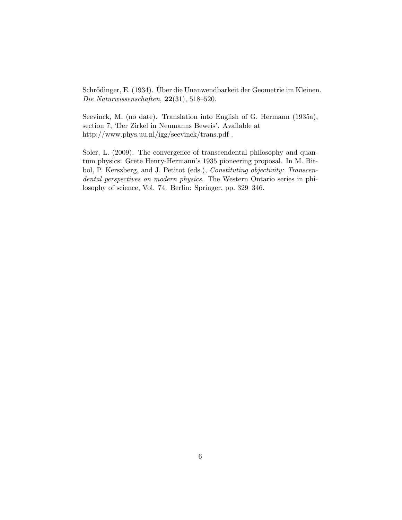Schrödinger, E. (1934). Über die Unanwendbarkeit der Geometrie im Kleinen. Die Naturwissenschaften, 22(31), 518–520.

Seevinck, M. (no date). Translation into English of G. Hermann (1935a), section 7, 'Der Zirkel in Neumanns Beweis'. Available at http://www.phys.uu.nl/igg/seevinck/trans.pdf .

Soler, L. (2009). The convergence of transcendental philosophy and quantum physics: Grete Henry-Hermann's 1935 pioneering proposal. In M. Bitbol, P. Kerszberg, and J. Petitot (eds.), Constituting objectivity: Transcendental perspectives on modern physics. The Western Ontario series in philosophy of science, Vol. 74. Berlin: Springer, pp. 329–346.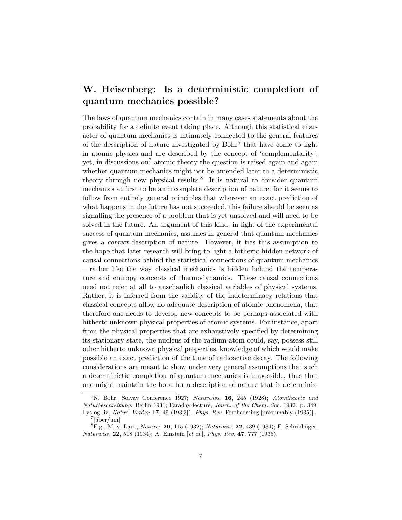# W. Heisenberg: Is a deterministic completion of quantum mechanics possible?

The laws of quantum mechanics contain in many cases statements about the probability for a definite event taking place. Although this statistical character of quantum mechanics is intimately connected to the general features of the description of nature investigated by Bohr<sup>6</sup> that have come to light in atomic physics and are described by the concept of 'complementarity', yet, in discussions on<sup>7</sup> atomic theory the question is raised again and again whether quantum mechanics might not be amended later to a deterministic theory through new physical results.<sup>8</sup> It is natural to consider quantum mechanics at first to be an incomplete description of nature; for it seems to follow from entirely general principles that wherever an exact prediction of what happens in the future has not succeeded, this failure should be seen as signalling the presence of a problem that is yet unsolved and will need to be solved in the future. An argument of this kind, in light of the experimental success of quantum mechanics, assumes in general that quantum mechanics gives a correct description of nature. However, it ties this assumption to the hope that later research will bring to light a hitherto hidden network of causal connections behind the statistical connections of quantum mechanics – rather like the way classical mechanics is hidden behind the temperature and entropy concepts of thermodynamics. These causal connections need not refer at all to anschaulich classical variables of physical systems. Rather, it is inferred from the validity of the indeterminacy relations that classical concepts allow no adequate description of atomic phenomena, that therefore one needs to develop new concepts to be perhaps associated with hitherto unknown physical properties of atomic systems. For instance, apart from the physical properties that are exhaustively specified by determining its stationary state, the nucleus of the radium atom could, say, possess still other hitherto unknown physical properties, knowledge of which would make possible an exact prediction of the time of radioactive decay. The following considerations are meant to show under very general assumptions that such a deterministic completion of quantum mechanics is impossible, thus that one might maintain the hope for a description of nature that is determinis-

<sup>&</sup>lt;sup>6</sup>N. Bohr, Solvay Conference 1927; Naturwiss. **16**, 245 (1928); Atomtheorie und Naturbeschreibung. Berlin 1931; Faraday-lecture, Journ. of the Chem. Soc. 1932. p. 349; Lys og liv, Natur. Verden 17, 49 (193[3]). Phys. Rev. Forthcoming [presumably (1935)].  $7$ [über/um]

 ${}^{8}E.g., M. v. Laue, *Naturw.* 20, 115 (1932); *Naturwiss.* 22, 439 (1934); E. Schrödinger,$ Naturwiss. 22, 518 (1934); A. Einstein [et al.], Phys. Rev. 47, 777 (1935).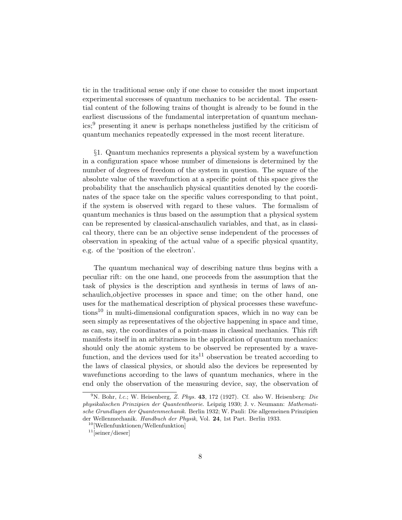tic in the traditional sense only if one chose to consider the most important experimental successes of quantum mechanics to be accidental. The essential content of the following trains of thought is already to be found in the earliest discussions of the fundamental interpretation of quantum mechanics;<sup>9</sup> presenting it anew is perhaps nonetheless justified by the criticism of quantum mechanics repeatedly expressed in the most recent literature.

§1. Quantum mechanics represents a physical system by a wavefunction in a configuration space whose number of dimensions is determined by the number of degrees of freedom of the system in question. The square of the absolute value of the wavefunction at a specific point of this space gives the probability that the anschaulich physical quantities denoted by the coordinates of the space take on the specific values corresponding to that point, if the system is observed with regard to these values. The formalism of quantum mechanics is thus based on the assumption that a physical system can be represented by classical-anschaulich variables, and that, as in classical theory, there can be an objective sense independent of the processes of observation in speaking of the actual value of a specific physical quantity, e.g. of the 'position of the electron'.

The quantum mechanical way of describing nature thus begins with a peculiar rift: on the one hand, one proceeds from the assumption that the task of physics is the description and synthesis in terms of laws of anschaulich,objective processes in space and time; on the other hand, one uses for the mathematical description of physical processes these wavefunctions<sup>10</sup> in multi-dimensional configuration spaces, which in no way can be seen simply as representatives of the objective happening in space and time, as can, say, the coordinates of a point-mass in classical mechanics. This rift manifests itself in an arbitrariness in the application of quantum mechanics: should only the atomic system to be observed be represented by a wavefunction, and the devices used for  $its^{11}$  observation be treated according to the laws of classical physics, or should also the devices be represented by wavefunctions according to the laws of quantum mechanics, where in the end only the observation of the measuring device, say, the observation of

 $9^9$ N. Bohr, *l.c.*; W. Heisenberg, Z. Phys. 43, 172 (1927). Cf. also W. Heisenberg: *Die* physikalischen Prinzipien der Quantentheorie. Leipzig 1930; J. v. Neumann: Mathematische Grundlagen der Quantenmechanik. Berlin 1932; W. Pauli: Die allgemeinen Prinzipien der Wellenmechanik. Handbuch der Physik, Vol. 24, 1st Part. Berlin 1933.

<sup>10</sup>[Wellenfunktionen/Wellenfunktion]

 $11$ [seiner/dieser]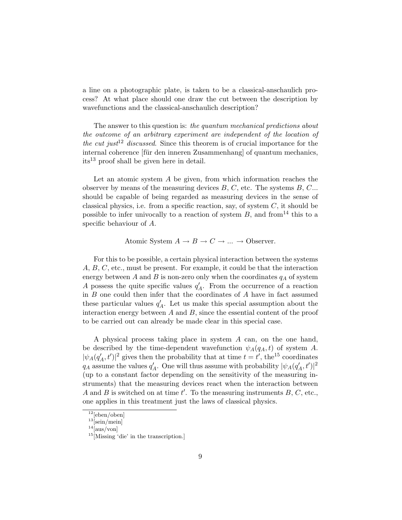a line on a photographic plate, is taken to be a classical-anschaulich process? At what place should one draw the cut between the description by wavefunctions and the classical-anschaulich description?

The answer to this question is: the quantum mechanical predictions about the outcome of an arbitrary experiment are independent of the location of the cut just<sup>12</sup> discussed. Since this theorem is of crucial importance for the internal coherence [für den inneren Zusammenhang] of quantum mechanics, its<sup>13</sup> proof shall be given here in detail.

Let an atomic system A be given, from which information reaches the observer by means of the measuring devices  $B, C$ , etc. The systems  $B, C$ ... should be capable of being regarded as measuring devices in the sense of classical physics, i.e. from a specific reaction, say, of system  $C$ , it should be possible to infer univocally to a reaction of system  $B$ , and from<sup>14</sup> this to a specific behaviour of A.

#### Atomic System  $A \to B \to C \to \dots \to \text{Observe}.$

For this to be possible, a certain physical interaction between the systems A, B, C, etc., must be present. For example, it could be that the interaction energy between A and B is non-zero only when the coordinates  $q_A$  of system A possess the quite specific values  $q'_A$ . From the occurrence of a reaction in B one could then infer that the coordinates of A have in fact assumed these particular values  $q'_A$ . Let us make this special assumption about the interaction energy between  $A$  and  $B$ , since the essential content of the proof to be carried out can already be made clear in this special case.

A physical process taking place in system A can, on the one hand, be described by the time-dependent wavefunction  $\psi_A(q_A, t)$  of system A.  $|\psi_A(q'_A, t')|^2$  gives then the probability that at time  $t = t'$ , the<sup>15</sup> coordinates  $q_A$  assume the values  $q'_A$ . One will thus assume with probability  $|\psi_A(q'_A, t')|^2$ (up to a constant factor depending on the sensitivity of the measuring instruments) that the measuring devices react when the interaction between A and B is switched on at time  $t'$ . To the measuring instruments  $B, C$ , etc., one applies in this treatment just the laws of classical physics.

 $12$ [eben/oben]

 $13$ [sein/mein]

 $\rm{^{14}[aus/von]}$ 

<sup>&</sup>lt;sup>15</sup>[Missing 'die' in the transcription.]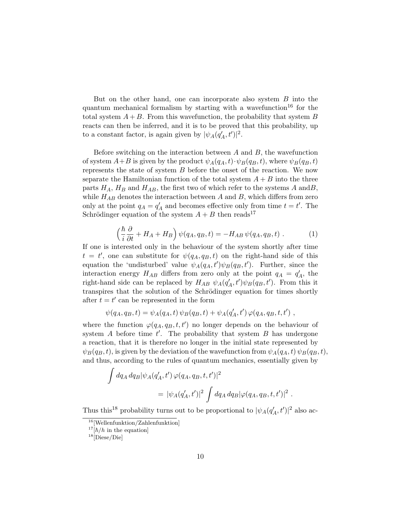But on the other hand, one can incorporate also system  $B$  into the quantum mechanical formalism by starting with a wavefunction<sup>16</sup> for the total system  $A + B$ . From this wavefunction, the probability that system B reacts can then be inferred, and it is to be proved that this probability, up to a constant factor, is again given by  $|\psi_A(q'_A, t')|^2$ .

Before switching on the interaction between  $A$  and  $B$ , the wavefunction of system  $A+B$  is given by the product  $\psi_A(q_A, t) \cdot \psi_B(q_B, t)$ , where  $\psi_B(q_B, t)$ represents the state of system  $B$  before the onset of the reaction. We now separate the Hamiltonian function of the total system  $A + B$  into the three parts  $H_A$ ,  $H_B$  and  $H_{AB}$ , the first two of which refer to the systems A and B, while  $H_{AB}$  denotes the interaction between A and B, which differs from zero only at the point  $q_A = q'_A$  and becomes effective only from time  $t = t'$ . The Schrödinger equation of the system  $A + B$  then reads<sup>17</sup>

$$
\left(\frac{\hbar}{i}\frac{\partial}{\partial t} + H_A + H_B\right)\psi(q_A, q_B, t) = -H_{AB}\psi(q_A, q_B, t) . \tag{1}
$$

If one is interested only in the behaviour of the system shortly after time  $t = t'$ , one can substitute for  $\psi(q_A, q_B, t)$  on the right-hand side of this equation the 'undisturbed' value  $\psi_A(q_A, t')\psi_B(q_B, t')$ . Further, since the interaction energy  $H_{AB}$  differs from zero only at the point  $q_A = q'_A$ , the right-hand side can be replaced by  $H_{AB} \psi_A(q'_A, t') \psi_B(q_B, t')$ . From this it transpires that the solution of the Schrödinger equation for times shortly after  $t = t'$  can be represented in the form

$$
\psi(q_A,q_B,t) = \psi_A(q_A,t)\,\psi_B(q_B,t) + \psi_A(q_A',t')\,\varphi(q_A,q_B,t,t')\;,
$$

where the function  $\varphi(q_A, q_B, t, t')$  no longer depends on the behaviour of system  $A$  before time  $t'$ . The probability that system  $B$  has undergone a reaction, that it is therefore no longer in the initial state represented by  $\psi_B(q_B, t)$ , is given by the deviation of the wavefunction from  $\psi_A(q_A, t) \psi_B(q_B, t)$ , and thus, according to the rules of quantum mechanics, essentially given by

$$
\int dq_A dq_B |\psi_A(q'_A, t') \varphi(q_A, q_B, t, t')|^2
$$
  
=  $|\psi_A(q'_A, t')|^2 \int dq_A dq_B |\varphi(q_A, q_B, t, t')|^2$ .

Thus this<sup>18</sup> probability turns out to be proportional to  $|\psi_A(q'_A, t')|^2$  also ac-

<sup>&</sup>lt;sup>16</sup>[Wellenfunktion/Zahlenfunktion]

 $17[h/h]$  in the equation

<sup>18</sup>[Diese/Die]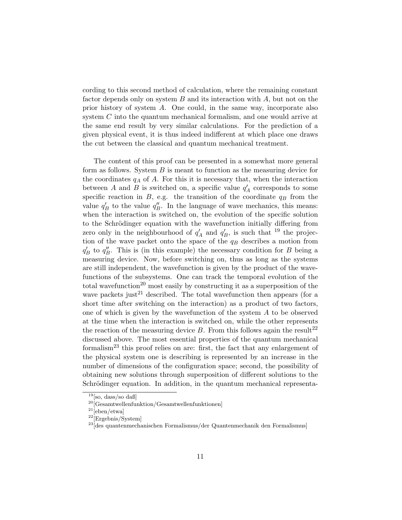cording to this second method of calculation, where the remaining constant factor depends only on system  $B$  and its interaction with  $A$ , but not on the prior history of system A. One could, in the same way, incorporate also system C into the quantum mechanical formalism, and one would arrive at the same end result by very similar calculations. For the prediction of a given physical event, it is thus indeed indifferent at which place one draws the cut between the classical and quantum mechanical treatment.

The content of this proof can be presented in a somewhat more general form as follows. System  $B$  is meant to function as the measuring device for the coordinates  $q_A$  of A. For this it is necessary that, when the interaction between A and B is switched on, a specific value  $q'_A$  corresponds to some specific reaction in  $B$ , e.g. the transition of the coordinate  $q_B$  from the value  $q_B'$  to the value  $q_B''$ . In the language of wave mechanics, this means: when the interaction is switched on, the evolution of the specific solution to the Schrödinger equation with the wavefunction initially differing from zero only in the neighbourhood of  $q'_A$  and  $q'_B$ , is such that <sup>19</sup> the projection of the wave packet onto the space of the  $q_B$  describes a motion from  $q_B'$  to  $q_B''$ . This is (in this example) the necessary condition for B being a measuring device. Now, before switching on, thus as long as the systems are still independent, the wavefunction is given by the product of the wavefunctions of the subsystems. One can track the temporal evolution of the total wavefunction<sup>20</sup> most easily by constructing it as a superposition of the wave packets just<sup>21</sup> described. The total wavefunction then appears (for a short time after switching on the interaction) as a product of two factors, one of which is given by the wavefunction of the system A to be observed at the time when the interaction is switched on, while the other represents the reaction of the measuring device  $B$ . From this follows again the result<sup>22</sup> discussed above. The most essential properties of the quantum mechanical formalism<sup>23</sup> this proof relies on are: first, the fact that any enlargement of the physical system one is describing is represented by an increase in the number of dimensions of the configuration space; second, the possibility of obtaining new solutions through superposition of different solutions to the Schrödinger equation. In addition, in the quantum mechanical representa-

 $19$ [so, dass/so daß]

 $20$ [Gesamtwellenfunktion/Gesamtwellenfunktionen]

 $21$ [eben/etwa]

 $22$ [Ergebnis/System]

 $^{23}\!$ des quantenmechanischen Formalismus/der Quantenmechanik den Formalismus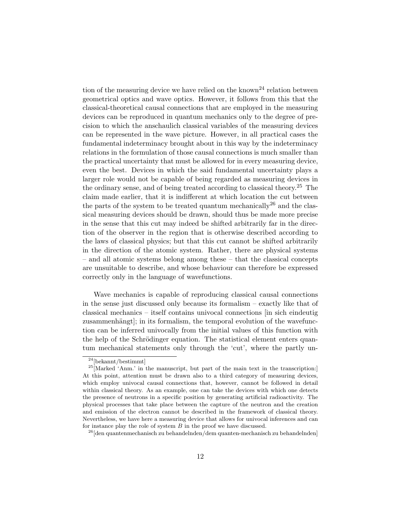tion of the measuring device we have relied on the known<sup>24</sup> relation between geometrical optics and wave optics. However, it follows from this that the classical-theoretical causal connections that are employed in the measuring devices can be reproduced in quantum mechanics only to the degree of precision to which the anschaulich classical variables of the measuring devices can be represented in the wave picture. However, in all practical cases the fundamental indeterminacy brought about in this way by the indeterminacy relations in the formulation of those causal connections is much smaller than the practical uncertainty that must be allowed for in every measuring device, even the best. Devices in which the said fundamental uncertainty plays a larger role would not be capable of being regarded as measuring devices in the ordinary sense, and of being treated according to classical theory.<sup>25</sup> The claim made earlier, that it is indifferent at which location the cut between the parts of the system to be treated quantum mechanically<sup>26</sup> and the classical measuring devices should be drawn, should thus be made more precise in the sense that this cut may indeed be shifted arbitrarily far in the direction of the observer in the region that is otherwise described according to the laws of classical physics; but that this cut cannot be shifted arbitrarily in the direction of the atomic system. Rather, there are physical systems – and all atomic systems belong among these – that the classical concepts are unsuitable to describe, and whose behaviour can therefore be expressed correctly only in the language of wavefunctions.

Wave mechanics is capable of reproducing classical causal connections in the sense just discussed only because its formalism – exactly like that of classical mechanics – itself contains univocal connections [in sich eindeutig zusammenhängt, in its formalism, the temporal evolution of the wavefunction can be inferred univocally from the initial values of this function with the help of the Schrödinger equation. The statistical element enters quantum mechanical statements only through the 'cut', where the partly un-

 $\sqrt[24]{\text{6}}$ bekannt/bestimmt]

<sup>&</sup>lt;sup>25</sup>[Marked 'Anm.' in the manuscript, but part of the main text in the transcription:] At this point, attention must be drawn also to a third category of measuring devices, which employ univocal causal connections that, however, cannot be followed in detail within classical theory. As an example, one can take the devices with which one detects the presence of neutrons in a specific position by generating artificial radioactivity. The physical processes that take place between the capture of the neutron and the creation and emission of the electron cannot be described in the framework of classical theory. Nevertheless, we have here a measuring device that allows for univocal inferences and can for instance play the role of system  $B$  in the proof we have discussed.

 $26$ [den quantenmechanisch zu behandelnden/dem quanten-mechanisch zu behandelnden]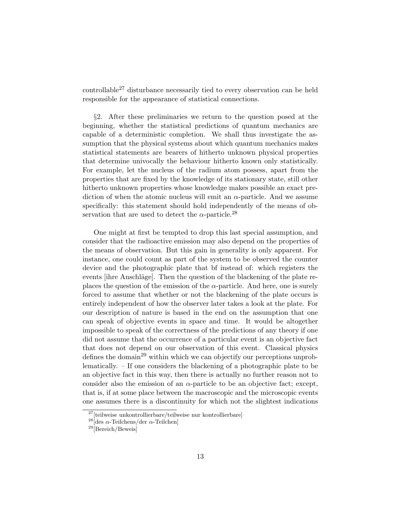controllable<sup>27</sup> disturbance necessarily tied to every observation can be held responsible for the appearance of statistical connections.

§2. After these preliminaries we return to the question posed at the beginning, whether the statistical predictions of quantum mechanics are capable of a deterministic completion. We shall thus investigate the assumption that the physical systems about which quantum mechanics makes statistical statements are bearers of hitherto unknown physical properties that determine univocally the behaviour hitherto known only statistically. For example, let the nucleus of the radium atom possess, apart from the properties that are fixed by the knowledge of its stationary state, still other hitherto unknown properties whose knowledge makes possible an exact prediction of when the atomic nucleus will emit an  $\alpha$ -particle. And we assume specifically: this statement should hold independently of the means of observation that are used to detect the  $\alpha$ -particle.<sup>28</sup>

One might at first be tempted to drop this last special assumption, and consider that the radioactive emission may also depend on the properties of the means of observation. But this gain in generality is only apparent. For instance, one could count as part of the system to be observed the counter device and the photographic plate that bf instead of: which registers the events [ihre Anschläge]. Then the question of the blackening of the plate replaces the question of the emission of the  $\alpha$ -particle. And here, one is surely forced to assume that whether or not the blackening of the plate occurs is entirely independent of how the observer later takes a look at the plate. For our description of nature is based in the end on the assumption that one can speak of objective events in space and time. It would be altogether impossible to speak of the correctness of the predictions of any theory if one did not assume that the occurrence of a particular event is an objective fact that does not depend on our observation of this event. Classical physics defines the domain<sup>29</sup> within which we can objectify our perceptions unproblematically. – If one considers the blackening of a photographic plate to be an objective fact in this way, then there is actually no further reason not to consider also the emission of an  $\alpha$ -particle to be an objective fact; except, that is, if at some place between the macroscopic and the microscopic events one assumes there is a discontinuity for which not the slightest indications

<sup>&</sup>lt;sup>27</sup>[teilweise unkontrollierbare/teilweise nur kontrollierbare]

<sup>&</sup>lt;sup>28</sup>[des α-Teilchens/der α-Teilchen]

<sup>29</sup>[Bereich/Beweis]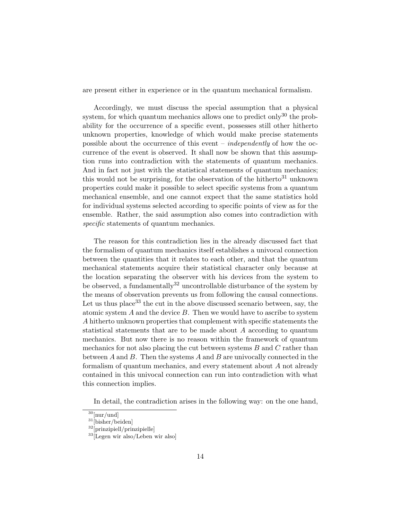are present either in experience or in the quantum mechanical formalism.

Accordingly, we must discuss the special assumption that a physical system, for which quantum mechanics allows one to predict only  $30$  the probability for the occurrence of a specific event, possesses still other hitherto unknown properties, knowledge of which would make precise statements possible about the occurrence of this event – *independently* of how the occurrence of the event is observed. It shall now be shown that this assumption runs into contradiction with the statements of quantum mechanics. And in fact not just with the statistical statements of quantum mechanics; this would not be surprising, for the observation of the hitherto<sup>31</sup> unknown properties could make it possible to select specific systems from a quantum mechanical ensemble, and one cannot expect that the same statistics hold for individual systems selected according to specific points of view as for the ensemble. Rather, the said assumption also comes into contradiction with specific statements of quantum mechanics.

The reason for this contradiction lies in the already discussed fact that the formalism of quantum mechanics itself establishes a univocal connection between the quantities that it relates to each other, and that the quantum mechanical statements acquire their statistical character only because at the location separating the observer with his devices from the system to be observed, a fundamentally  $32$  uncontrollable disturbance of the system by the means of observation prevents us from following the causal connections. Let us thus place<sup>33</sup> the cut in the above discussed scenario between, say, the atomic system  $A$  and the device  $B$ . Then we would have to ascribe to system A hitherto unknown properties that complement with specific statements the statistical statements that are to be made about A according to quantum mechanics. But now there is no reason within the framework of quantum mechanics for not also placing the cut between systems  $B$  and  $C$  rather than between  $A$  and  $B$ . Then the systems  $A$  and  $B$  are univocally connected in the formalism of quantum mechanics, and every statement about A not already contained in this univocal connection can run into contradiction with what this connection implies.

In detail, the contradiction arises in the following way: on the one hand,

 $30$ [nur/und]

 $31$ [bisher/beiden]

<sup>32</sup>[prinzipiell/prinzipielle]

<sup>33</sup>[Legen wir also/Leben wir also]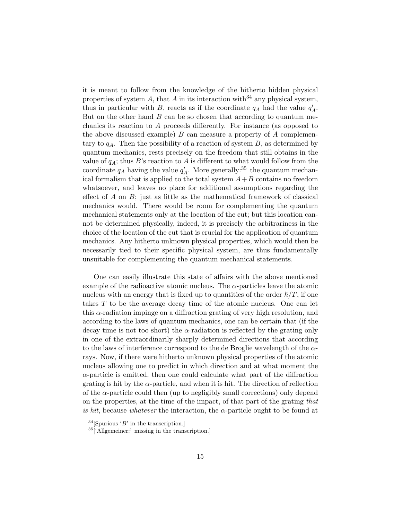it is meant to follow from the knowledge of the hitherto hidden physical properties of system A, that A in its interaction with<sup>34</sup> any physical system, thus in particular with B, reacts as if the coordinate  $q_A$  had the value  $q'_A$ . But on the other hand  $B$  can be so chosen that according to quantum mechanics its reaction to A proceeds differently. For instance (as opposed to the above discussed example)  $B$  can measure a property of  $A$  complementary to  $q_A$ . Then the possibility of a reaction of system  $B$ , as determined by quantum mechanics, rests precisely on the freedom that still obtains in the value of  $q_A$ ; thus B's reaction to A is different to what would follow from the coordinate  $q_A$  having the value  $q'_A$ . More generally:<sup>35</sup> the quantum mechanical formalism that is applied to the total system  $A+B$  contains no freedom whatsoever, and leaves no place for additional assumptions regarding the effect of  $A$  on  $B$ ; just as little as the mathematical framework of classical mechanics would. There would be room for complementing the quantum mechanical statements only at the location of the cut; but this location cannot be determined physically, indeed, it is precisely the arbitrariness in the choice of the location of the cut that is crucial for the application of quantum mechanics. Any hitherto unknown physical properties, which would then be necessarily tied to their specific physical system, are thus fundamentally unsuitable for complementing the quantum mechanical statements.

One can easily illustrate this state of affairs with the above mentioned example of the radioactive atomic nucleus. The  $\alpha$ -particles leave the atomic nucleus with an energy that is fixed up to quantities of the order  $\hbar/T$ , if one takes T to be the average decay time of the atomic nucleus. One can let this  $\alpha$ -radiation impinge on a diffraction grating of very high resolution, and according to the laws of quantum mechanics, one can be certain that (if the decay time is not too short) the  $\alpha$ -radiation is reflected by the grating only in one of the extraordinarily sharply determined directions that according to the laws of interference correspond to the de Broglie wavelength of the  $\alpha$ rays. Now, if there were hitherto unknown physical properties of the atomic nucleus allowing one to predict in which direction and at what moment the  $\alpha$ -particle is emitted, then one could calculate what part of the diffraction grating is hit by the  $\alpha$ -particle, and when it is hit. The direction of reflection of the  $\alpha$ -particle could then (up to negligibly small corrections) only depend on the properties, at the time of the impact, of that part of the grating that is hit, because whatever the interaction, the  $\alpha$ -particle ought to be found at

 $34$ [Spurious 'B' in the transcription.]

<sup>35</sup>['Allgemeiner:' missing in the transcription.]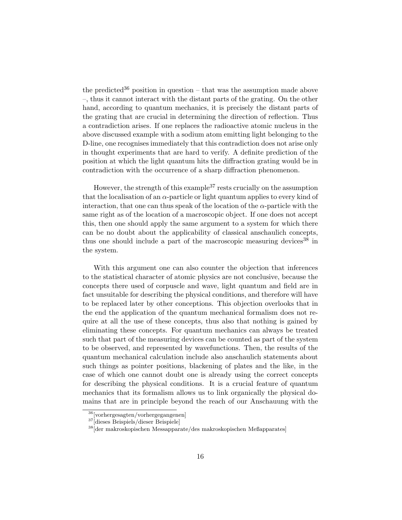the predicted<sup>36</sup> position in question – that was the assumption made above –, thus it cannot interact with the distant parts of the grating. On the other hand, according to quantum mechanics, it is precisely the distant parts of the grating that are crucial in determining the direction of reflection. Thus a contradiction arises. If one replaces the radioactive atomic nucleus in the above discussed example with a sodium atom emitting light belonging to the D-line, one recognises immediately that this contradiction does not arise only in thought experiments that are hard to verify. A definite prediction of the position at which the light quantum hits the diffraction grating would be in contradiction with the occurrence of a sharp diffraction phenomenon.

However, the strength of this example  $37$  rests crucially on the assumption that the localisation of an  $\alpha$ -particle or light quantum applies to every kind of interaction, that one can thus speak of the location of the  $\alpha$ -particle with the same right as of the location of a macroscopic object. If one does not accept this, then one should apply the same argument to a system for which there can be no doubt about the applicability of classical anschaulich concepts, thus one should include a part of the macroscopic measuring devices  $38$  in the system.

With this argument one can also counter the objection that inferences to the statistical character of atomic physics are not conclusive, because the concepts there used of corpuscle and wave, light quantum and field are in fact unsuitable for describing the physical conditions, and therefore will have to be replaced later by other conceptions. This objection overlooks that in the end the application of the quantum mechanical formalism does not require at all the use of these concepts, thus also that nothing is gained by eliminating these concepts. For quantum mechanics can always be treated such that part of the measuring devices can be counted as part of the system to be observed, and represented by wavefunctions. Then, the results of the quantum mechanical calculation include also anschaulich statements about such things as pointer positions, blackening of plates and the like, in the case of which one cannot doubt one is already using the correct concepts for describing the physical conditions. It is a crucial feature of quantum mechanics that its formalism allows us to link organically the physical domains that are in principle beyond the reach of our Anschauung with the

<sup>36</sup>[vorhergesagten/vorhergegangenen]

<sup>37</sup>[dieses Beispiels/dieser Beispiele]

<sup>38</sup>[der makroskopischen Messapparate/des makroskopischen Meßapparates]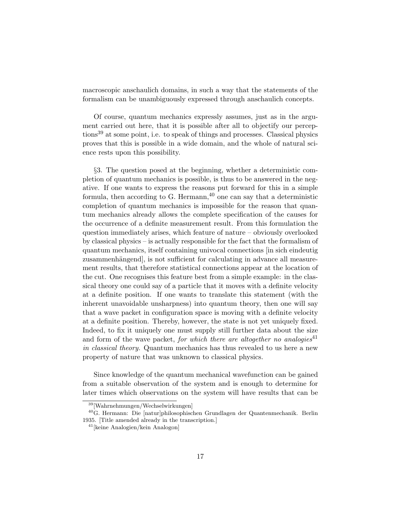macroscopic anschaulich domains, in such a way that the statements of the formalism can be unambiguously expressed through anschaulich concepts.

Of course, quantum mechanics expressly assumes, just as in the argument carried out here, that it is possible after all to objectify our percep $tions<sup>39</sup>$  at some point, i.e. to speak of things and processes. Classical physics proves that this is possible in a wide domain, and the whole of natural science rests upon this possibility.

§3. The question posed at the beginning, whether a deterministic completion of quantum mechanics is possible, is thus to be answered in the negative. If one wants to express the reasons put forward for this in a simple formula, then according to G. Hermann,  $40$  one can say that a deterministic completion of quantum mechanics is impossible for the reason that quantum mechanics already allows the complete specification of the causes for the occurrence of a definite measurement result. From this formulation the question immediately arises, which feature of nature – obviously overlooked by classical physics – is actually responsible for the fact that the formalism of quantum mechanics, itself containing univocal connections [in sich eindeutig zusammenhängend, is not sufficient for calculating in advance all measurement results, that therefore statistical connections appear at the location of the cut. One recognises this feature best from a simple example: in the classical theory one could say of a particle that it moves with a definite velocity at a definite position. If one wants to translate this statement (with the inherent unavoidable unsharpness) into quantum theory, then one will say that a wave packet in configuration space is moving with a definite velocity at a definite position. Thereby, however, the state is not yet uniquely fixed. Indeed, to fix it uniquely one must supply still further data about the size and form of the wave packet, for which there are altogether no analogies<sup>41</sup> in classical theory. Quantum mechanics has thus revealed to us here a new property of nature that was unknown to classical physics.

Since knowledge of the quantum mechanical wavefunction can be gained from a suitable observation of the system and is enough to determine for later times which observations on the system will have results that can be

<sup>39</sup>[Wahrnehmungen/Wechselwirkungen]

<sup>40</sup>G. Hermann: Die [natur]philosophischen Grundlagen der Quantenmechanik. Berlin 1935. [Title amended already in the transcription.]

 $41$ [keine Analogien/kein Analogon]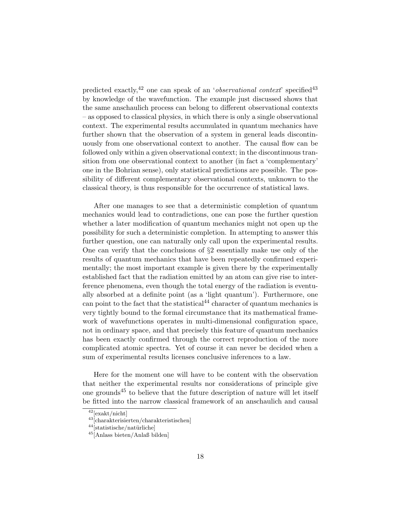predicted exactly,<sup>42</sup> one can speak of an '*observational context*' specified<sup>43</sup> by knowledge of the wavefunction. The example just discussed shows that the same anschaulich process can belong to different observational contexts – as opposed to classical physics, in which there is only a single observational context. The experimental results accumulated in quantum mechanics have further shown that the observation of a system in general leads discontinuously from one observational context to another. The causal flow can be followed only within a given observational context; in the discontinuous transition from one observational context to another (in fact a 'complementary' one in the Bohrian sense), only statistical predictions are possible. The possibility of different complementary observational contexts, unknown to the classical theory, is thus responsible for the occurrence of statistical laws.

After one manages to see that a deterministic completion of quantum mechanics would lead to contradictions, one can pose the further question whether a later modification of quantum mechanics might not open up the possibility for such a deterministic completion. In attempting to answer this further question, one can naturally only call upon the experimental results. One can verify that the conclusions of §2 essentially make use only of the results of quantum mechanics that have been repeatedly confirmed experimentally; the most important example is given there by the experimentally established fact that the radiation emitted by an atom can give rise to interference phenomena, even though the total energy of the radiation is eventually absorbed at a definite point (as a 'light quantum'). Furthermore, one can point to the fact that the statistical<sup>44</sup> character of quantum mechanics is very tightly bound to the formal circumstance that its mathematical framework of wavefunctions operates in multi-dimensional configuration space, not in ordinary space, and that precisely this feature of quantum mechanics has been exactly confirmed through the correct reproduction of the more complicated atomic spectra. Yet of course it can never be decided when a sum of experimental results licenses conclusive inferences to a law.

Here for the moment one will have to be content with the observation that neither the experimental results nor considerations of principle give one grounds<sup>45</sup> to believe that the future description of nature will let itself be fitted into the narrow classical framework of an anschaulich and causal

<sup>42</sup>[exakt/nicht]

<sup>43</sup>[charakterisierten/charakteristischen]

 $^{44}$  [statistische/natürliche]

<sup>45</sup>[Anlass bieten/Anlaß bilden]